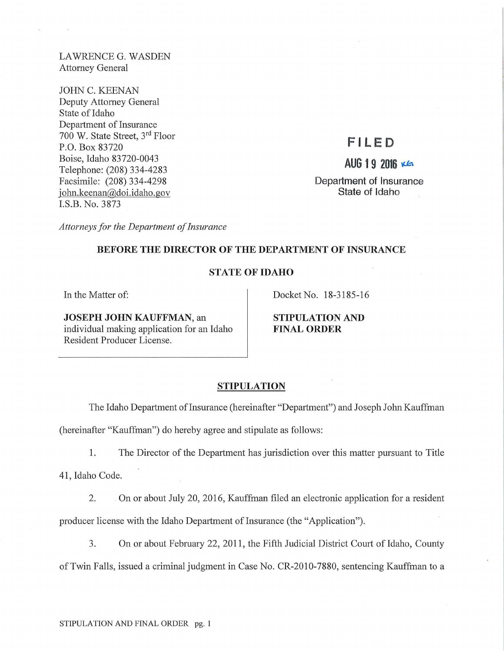LAWRENCE G. WASDEN Attorney General

 $\tilde{\chi}$  ).

JOHN C. KEENAN Deputy Attorney General State of Idaho Department of Insurance 700 W. State Street, 3rd Floor P.O. Box 83720 Boise, Idaho 83720-0043 Telephone: (208) 334-4283 Facsimile: (208) 334-4298 john.keenan@doi.idaho.gov I.S.B. No. 3873

# **F I LED**

AUG 19 2016 KG

**Department of Insurance State of Idaho** 

*Attorneys for the Department of Insurance* 

# **BEFORE THE DIRECTOR OF THE DEPARTMENT OF INSURANCE**

# **STATE OF IDAHO**

In the Matter of:

Docket No. 18-3185-16

**JOSEPH JOHN KAUFFMAN,** an individual making application for an Idaho Resident Producer License.

**STIPULATION AND FINAL ORDER** 

#### **STIPULATION**

The Idaho Department of Insurance (hereinafter "Department") and Joseph John Kauffman

(hereinafter "Kauffman") do hereby agree and stipulate as follows:

1. The Director of the Department has jurisdiction over this matter pursuant to Title

**41,** Idaho Code.

2. On or about July 20, 2016, Kauffman filed an electronic application for a resident producer license with the Idaho Department of Insurance (the "Application").

3. On or about February 22, 2011, the Fifth Judicial District Court of Idaho, County of Twin Falls, issued a criminal judgment in Case No. CR-2010-7880, sentencing Kauffman to a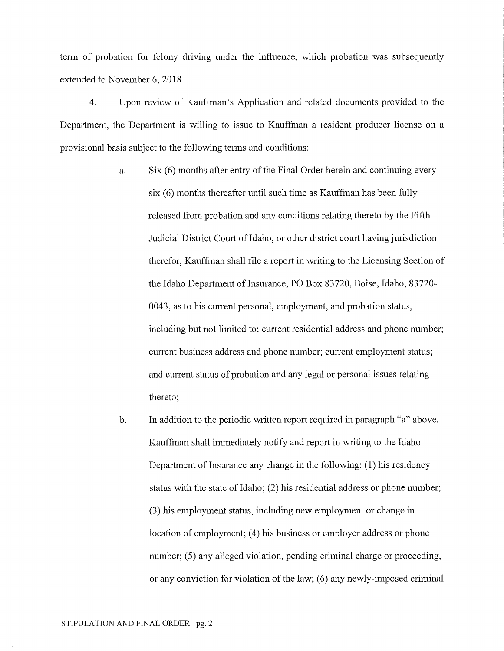term of probation for felony driving under the influence, which probation was subsequently extended to November 6, 2018.

4. Upon review of Kauffman's Application and related documents provided to the Department, the Department is willing to issue to Kauffman a resident producer license on a provisional basis subject to the following terms and conditions:

- a. Six (6) months after entry of the Final Order herein and continuing every six (6) months thereafter until such time as Kauffman has been fully released from probation and any conditions relating thereto by the Fifth Judicial District Court of Idaho, or other district court having jurisdiction therefor, Kauffman shall file a report in writing to the Licensing Section of the Idaho Department of Insurance, PO Box 83720, Boise, Idaho, 83720- 0043, as to his current personal, employment, and probation status, including but not limited to: current residential address and phone number; current business address and phone number; current employment status; and current status of probation and any legal or personal issues relating thereto;
- b. In addition to the periodic written report required in paragraph "a" above, Kauffman shall immediately notify and report in writing to the Idaho Department of Insurance any change in the following: (1) his residency status with the state of Idaho; (2) his residential address or phone number; (3) his employment status, including new employment or change in location of employment; (4) his business or employer address or phone number; (5) any alleged violation, pending criminal charge or proceeding, or any conviction for violation of the law; (6) any newly-imposed criminal

 $\mathcal{L}_{\mathcal{A}}$ 

 $\sim$   $\alpha$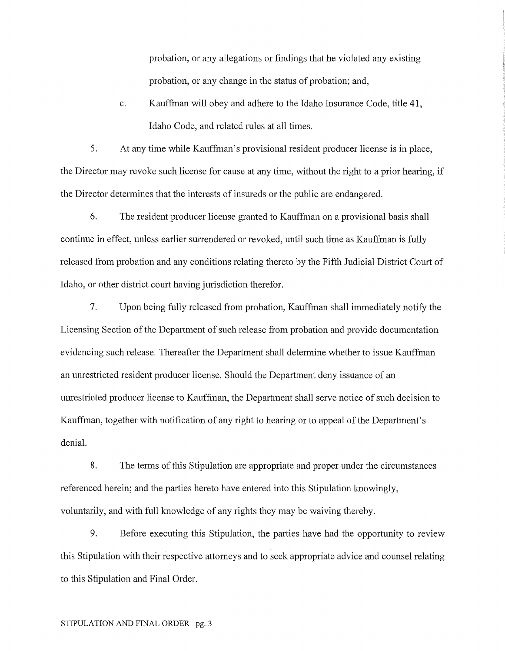probation, or any allegations or findings that he violated any existing probation, or any change in the status of probation; and,

c. Kauffman will obey and adhere to the Idaho Insurance Code, title 41, Idaho Code, and related rules at all times.

5. At any time while Kauffman's provisional resident producer license is in place, the Director may revoke such license for cause at any time, without the right to a prior hearing, if the Director determines that the interests of insureds or the public are endangered.

6. The resident producer license granted to Kauffman on a provisional basis shall continue in effect, unless earlier surrendered or revoked, until such time as Kauffman is fully released from probation and any conditions relating thereto by the Fifth Judicial District Court of Idaho, or other district court having jurisdiction therefor.

7. Upon being fully released from probation, Kauffman shall immediately notify the Licensing Section of the Department of such release from probation and provide documentation evidencing such release. Thereafter the Department shall determine whether to issue Kauffman an unrestricted resident producer license. Should the Department deny issuance of an unrestricted producer license to Kauffman, the Department shall serve notice of such decision to Kauffman, together with notification of any right to hearing or to appeal of the Department's denial.

8. The terms of this Stipulation are appropriate and proper under the circumstances referenced herein; and the parties hereto have entered into this Stipulation knowingly, voluntarily, and with full knowledge of any rights they may be waiving thereby.

9. Before executing this Stipulation, the parties have had the opportunity to review this Stipulation with their respective attorneys and to seek appropriate advice and counsel relating to this Stipulation and Final Order.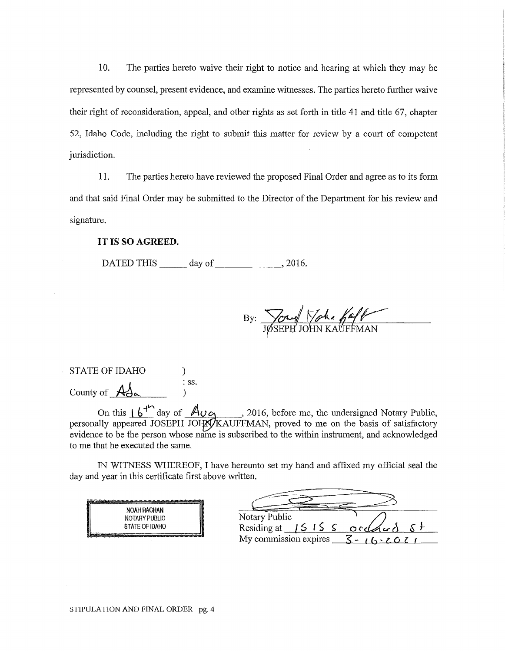10. The parties hereto waive their right to notice and hearing at which they may be represented by counsel, present evidence, and examine witnesses. The parties hereto further waive their right of reconsideration, appeal, and other rights as set forth in title 41 and title 67, chapter 52, Idaho Code, including the right to submit this matter for review by a court of competent jurisdiction.

11. The parties hereto have reviewed the proposed Final Order and agree as to its form and that said Final Order may be submitted to the Director of the Department for his review and signature.

#### **IT** IS SO **AGREED.**

DATED THIS day of , 2016.

By: Joseph John Kauff

| <b>STATE OF IDAHO</b>                   |                  |
|-----------------------------------------|------------------|
| County of $\overrightarrow{A}_{\alpha}$ | $\therefore$ SS. |
|                                         |                  |

On this  $16^{44}$  day of  $\overline{A_{UQ}}$  , 2016, before me, the undersigned Notary Public, personally appeared JOSEPH JOFX/KAUFFMAN, proved to me on the basis of satisfactory evidence to be the person whose name is subscribed to the within instrument, and acknowledged to me that he executed the same.

IN WITNESS WHEREOF, I have hereunto set my hand and affixed my official seal the day and year in this certificate first above written.

| <b>NOAH RACHAN</b>                          |         |  |
|---------------------------------------------|---------|--|
| <b>NOTARY PUBLIC</b>                        | Notary  |  |
| STATE OF IDAHO                              | Residin |  |
| Advantage of the provincial and company and | My com  |  |

| Notary Public                                   |            |
|-------------------------------------------------|------------|
| Residing at $15155 \text{ or } 4 \text{ or } 5$ |            |
| My commission expires                           | $-16.2021$ |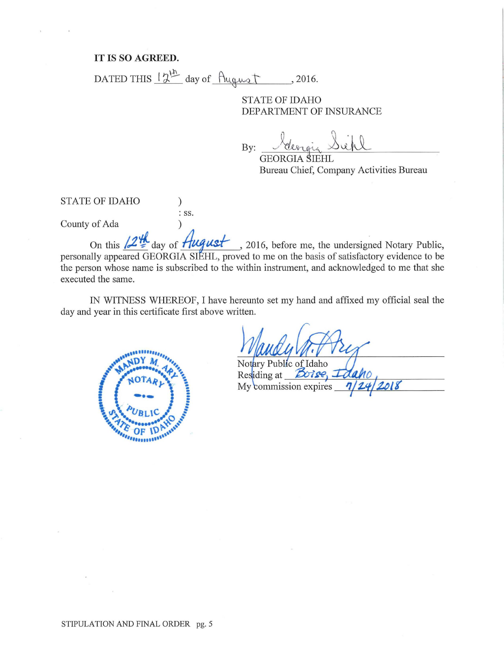## **IT IS SO AGREED.**

DATED THIS  $\frac{12^{th}}{2}$  day of  $\frac{$ llugust ... . 2016.

: SS.

# STATE OF IDAHO DEPARTMENT OF INSURANCE

By: <u>beingin</u> Sichl

GEORGIA SIEHL Bureau Chief, Company Activities Bureau

STATE OF IDAHO )

County of Ada )

On this  $/2$ <sup>*II*</sup> day of *Hugust*, 2016, before me, the undersigned Notary Public, personally appeared GEORGIA SIEHL, proved to me on the basis of satisfactory evidence to be the person whose name is subscribed to the within instrument, and acknowledged to me that she executed the same.

IN WITNESS WHEREOF, I have hereunto set my hand and affixed my official seal the day and year in this certificate first above written.



Notary Public of Idaho Residing at **Boise** My commission expires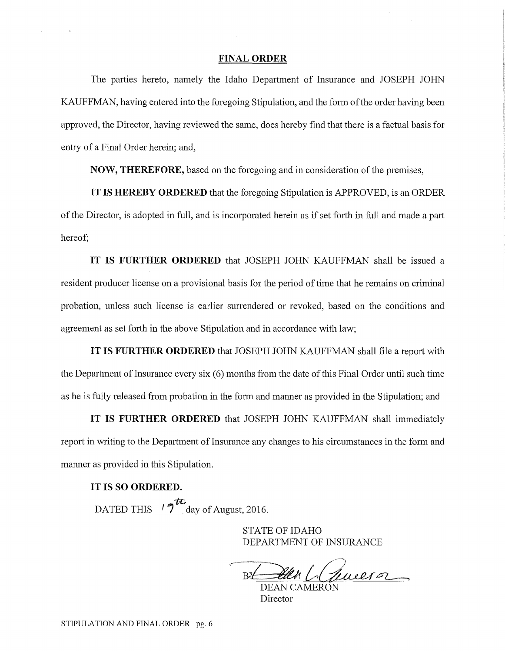#### **FINAL ORDER**

The parties hereto, namely the Idaho Department of Insurance and JOSEPH JOHN KAUFFMAN, having entered into the foregoing Stipulation, and the form of the order having been approved, the Director, having reviewed the same, does hereby find that there is a factual basis for entry of a Final Order herein; and,

**NOW, THEREFORE,** based on the foregoing and in consideration of the premises,

**IT IS HEREBY ORDERED** that the foregoing Stipulation is APPROVED, is an ORDER of the Director, is adopted in full, and is incorporated herein as if set fmih in full and made a part hereof;

**IT IS FURTHER ORDERED** that JOSEPH JOHN KAUFFMAN shall be issued a resident producer license on a provisional basis for the period of time that he remains on criminal probation, unless such license is earlier surrendered or revoked, based on the conditions and agreement as set forth in the above Stipulation and in accordance with law;

**IT IS FURTHER ORDERED** that JOSEPH JOHN KAUFFMAN shall file a report with the Department of Insurance every six (6) months from the date of this Final Order until such time as he is fully released from probation in the form and manner as provided in the Stipulation; and

**IT IS FURTHER ORDERED** that JOSEPH JOHN KAUFFMAN shall immediately report in writing to the Department of Insurance any changes to his circumstances in the form and manner as provided in this Stipulation.

### **IT IS SO ORDERED.**

DATED THIS  $\frac{12\pi}{3}$  day of August, 2016.

STATE OF IDAHO DEPARTMENT OF INSURANCE

en Clemeero DEAN CAMERON

**Director**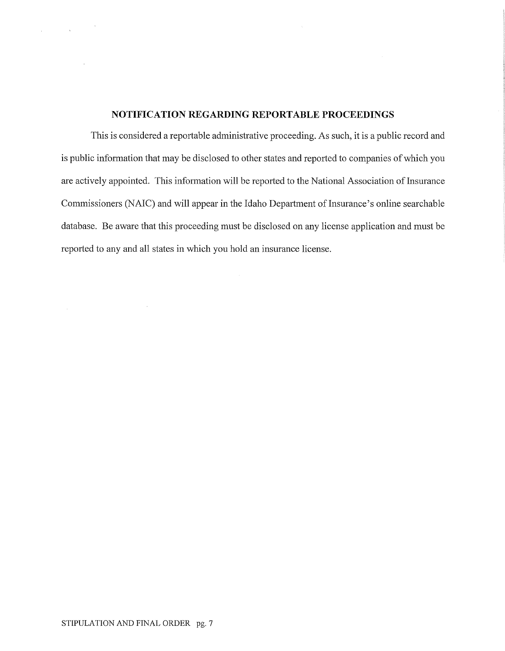# **NOTIFICATION REGARDING REPORTABLE PROCEEDINGS**

This is considered a reportable administrative proceeding. As such, it is a public record and is public information that may be disclosed to other states and reported to companies of which you are actively appointed. This information will be reported to the National Association of Insurance Commissioners (NAIC) and will appear in the Idaho Department of Insurance's online searchable database. Be aware that this proceeding must be disclosed on any license application and must be reported to any and all states in which you hold an insurance license.

 $\sim 100$ 

 $\label{eq:2.1} \begin{split} \mathcal{L}_{\text{max}}(\mathbf{x}) = \mathcal{L}_{\text{max}}(\mathbf{x}) \mathcal{L}_{\text{max}}(\mathbf{x}) \mathcal{L}_{\text{max}}(\mathbf{x}) \mathcal{L}_{\text{max}}(\mathbf{x}) \mathcal{L}_{\text{max}}(\mathbf{x}) \mathcal{L}_{\text{max}}(\mathbf{x}) \mathcal{L}_{\text{max}}(\mathbf{x}) \mathcal{L}_{\text{max}}(\mathbf{x}) \mathcal{L}_{\text{max}}(\mathbf{x}) \mathcal{L}_{\text{max}}(\mathbf{x}) \mathcal{L}_{\text{max}}(\mathbf{x}) \mathcal{L}_{\text{max}}(\math$